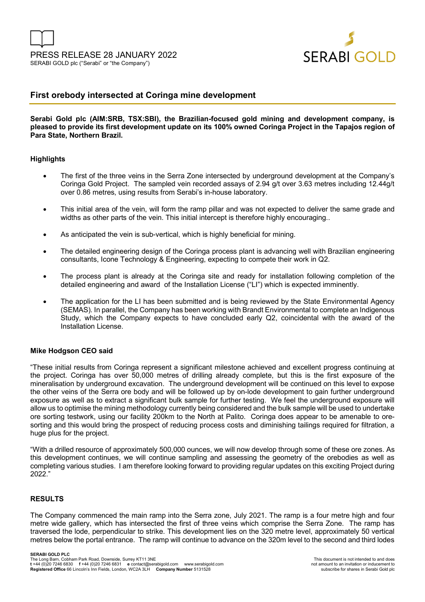

# **First orebody intersected at Coringa mine development**

### **Serabi Gold plc (AIM:SRB, TSX:SBI), the Brazilian-focused gold mining and development company, is pleased to provide its first development update on its 100% owned Coringa Project in the Tapajos region of Para State, Northern Brazil.**

#### **Highlights**

- The first of the three veins in the Serra Zone intersected by underground development at the Company's Coringa Gold Project. The sampled vein recorded assays of 2.94 g/t over 3.63 metres including 12.44g/t over 0.86 metres, using results from Serabi's in-house laboratory.
- This initial area of the vein, will form the ramp pillar and was not expected to deliver the same grade and widths as other parts of the vein. This initial intercept is therefore highly encouraging..
- As anticipated the vein is sub-vertical, which is highly beneficial for mining.
- The detailed engineering design of the Coringa process plant is advancing well with Brazilian engineering consultants, Icone Technology & Engineering, expecting to compete their work in Q2.
- The process plant is already at the Coringa site and ready for installation following completion of the detailed engineering and award of the Installation License ("LI") which is expected imminently.
- The application for the LI has been submitted and is being reviewed by the State Environmental Agency (SEMAS). In parallel, the Company has been working with Brandt Environmental to complete an Indigenous Study, which the Company expects to have concluded early Q2, coincidental with the award of the Installation License.

#### **Mike Hodgson CEO said**

"These initial results from Coringa represent a significant milestone achieved and excellent progress continuing at the project. Coringa has over 50,000 metres of drilling already complete, but this is the first exposure of the mineralisation by underground excavation. The underground development will be continued on this level to expose the other veins of the Serra ore body and will be followed up by on-lode development to gain further underground exposure as well as to extract a significant bulk sample for further testing. We feel the underground exposure will allow us to optimise the mining methodology currently being considered and the bulk sample will be used to undertake ore sorting testwork, using our facility 200km to the North at Palito. Coringa does appear to be amenable to oresorting and this would bring the prospect of reducing process costs and diminishing tailings required for filtration, a huge plus for the project.

"With a drilled resource of approximately 500,000 ounces, we will now develop through some of these ore zones. As this development continues, we will continue sampling and assessing the geometry of the orebodies as well as completing various studies. I am therefore looking forward to providing regular updates on this exciting Project during 2022."

## **RESULTS**

The Company commenced the main ramp into the Serra zone, July 2021. The ramp is a four metre high and four metre wide gallery, which has intersected the first of three veins which comprise the Serra Zone. The ramp has traversed the lode, perpendicular to strike. This development lies on the 320 metre level, approximately 50 vertical metres below the portal entrance. The ramp will continue to advance on the 320m level to the second and third lodes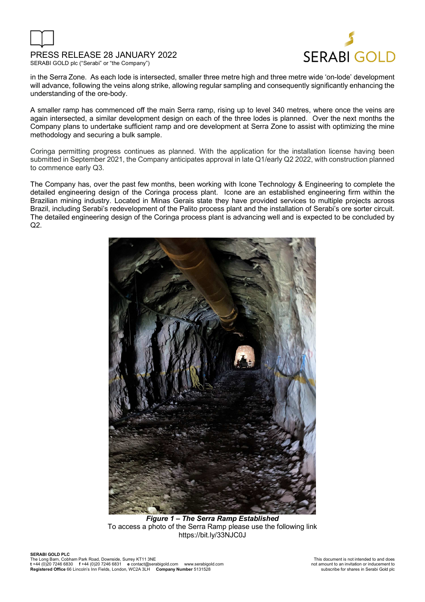

# PRESS RELEASE 28 JANUARY 2022





in the Serra Zone. As each lode is intersected, smaller three metre high and three metre wide 'on-lode' development will advance, following the veins along strike, allowing regular sampling and consequently significantly enhancing the understanding of the ore-body.

A smaller ramp has commenced off the main Serra ramp, rising up to level 340 metres, where once the veins are again intersected, a similar development design on each of the three lodes is planned. Over the next months the Company plans to undertake sufficient ramp and ore development at Serra Zone to assist with optimizing the mine methodology and securing a bulk sample.

Coringa permitting progress continues as planned. With the application for the installation license having been submitted in September 2021, the Company anticipates approval in late Q1/early Q2 2022, with construction planned to commence early Q3.

The Company has, over the past few months, been working with Icone Technology & Engineering to complete the detailed engineering design of the Coringa process plant. Icone are an established engineering firm within the Brazilian mining industry. Located in Minas Gerais state they have provided services to multiple projects across Brazil, including Serabi's redevelopment of the Palito process plant and the installation of Serabi's ore sorter circuit. The detailed engineering design of the Coringa process plant is advancing well and is expected to be concluded by  $Q2$ .



*Figure 1 – The Serra Ramp Established* To access a photo of the Serra Ramp please use the following link https://bit.ly/33NJC0J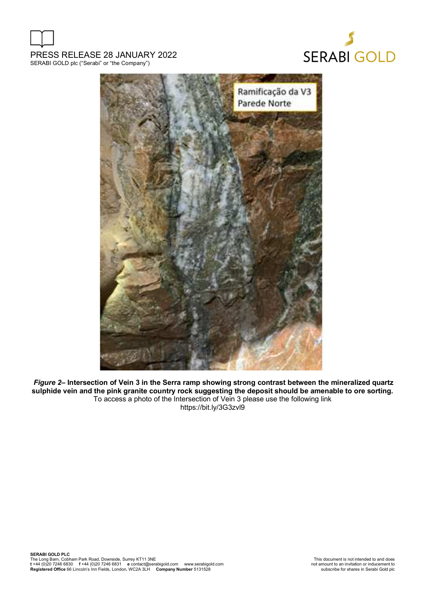





*Figure 2–* **Intersection of Vein 3 in the Serra ramp showing strong contrast between the mineralized quartz sulphide vein and the pink granite country rock suggesting the deposit should be amenable to ore sorting.**  To access a photo of the Intersection of Vein 3 please use the following link https://bit.ly/3G3zvl9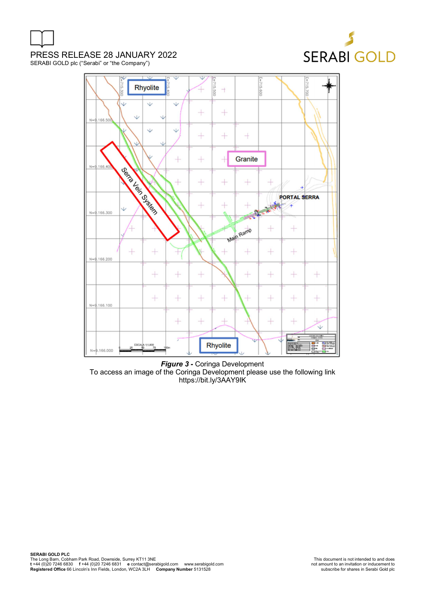

PRESS RELEASE 28 JANUARY 2022

SERABI GOLD plc ("Serabi" or "the Company")



*Figure 3 -* Coringa Development To access an image of the Coringa Development please use the following link https://bit.ly/3AAY9IK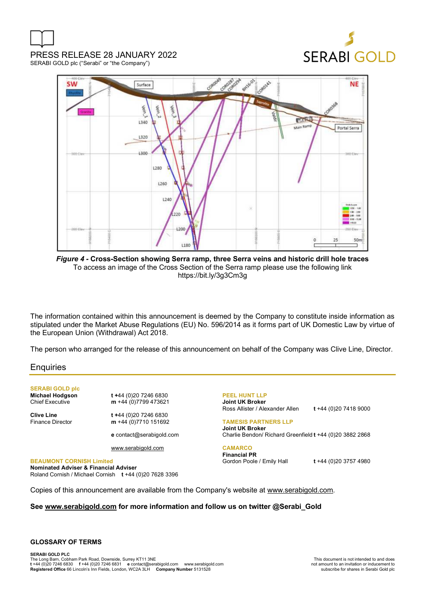

PRESS RELEASE 28 JANUARY 2022 SERABI GOLD plc ("Serabi" or "the Company")



*Figure 4 -* **Cross-Section showing Serra ramp, three Serra veins and historic drill hole traces** To access an image of the Cross Section of the Serra ramp please use the following link https://bit.ly/3g3Cm3g

The information contained within this announcement is deemed by the Company to constitute inside information as stipulated under the Market Abuse Regulations (EU) No. 596/2014 as it forms part of UK Domestic Law by virtue of the European Union (Withdrawal) Act 2018.

The person who arranged for the release of this announcement on behalf of the Company was Clive Line, Director.

#### **Enquiries**

**SERABI GOLD plc** 

**Michael Hodgson t +**44 (0)20 7246 6830<br>Chief Executive **m** +44 (0)7799 473621 m +44 (0)7799 473621

**Clive Line** t +44 (0)20 7246 6830<br>Finance Director **m** +44 (0)7710 151692 m +44 (0)7710 151692

**e** contact@serabigold.com

www.serabigold.com

**BEAUMONT CORNISH Limited Nominated Adviser & Financial Adviser**  Roland Cornish / Michael Cornish **t** +44 (0)20 7628 3396 **PEEL HUNT LLP Joint UK Broker** Ross Allister / Alexander Allen **t** +44 (0)20 7418 9000

**TAMESIS PARTNERS LLP Joint UK Broker** Charlie Bendon/ Richard Greenfield **t** +44 (0)20 3882 2868

**CAMARCO Financial PR** Gordon Poole / Emily Hall **t** +44 (0)20 3757 4980

Copies of this announcement are available from the Company's website at www.serabigold.com.

#### **See www.serabigold.com for more information and follow us on twitter @Serabi\_Gold**

#### **GLOSSARY OF TERMS**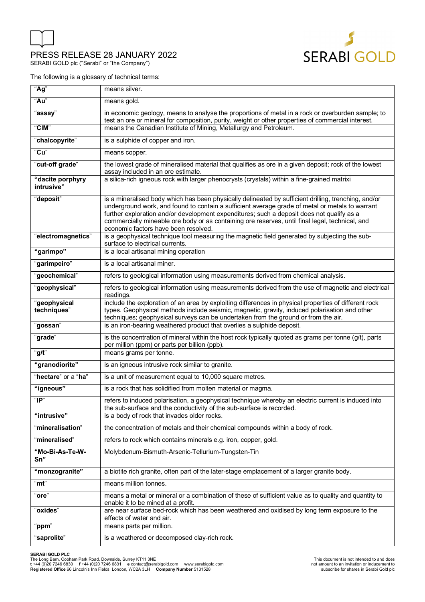

SERABI GOLD plc ("Serabi" or "the Company")



The following is a glossary of technical terms:

| "Ag"                           | means silver.                                                                                                                                                                                                                                                                                                                                                                                                                                   |
|--------------------------------|-------------------------------------------------------------------------------------------------------------------------------------------------------------------------------------------------------------------------------------------------------------------------------------------------------------------------------------------------------------------------------------------------------------------------------------------------|
| "Au"                           | means gold.                                                                                                                                                                                                                                                                                                                                                                                                                                     |
| "assay"                        | in economic geology, means to analyse the proportions of metal in a rock or overburden sample; to<br>test an ore or mineral for composition, purity, weight or other properties of commercial interest.                                                                                                                                                                                                                                         |
| "CIM"                          | means the Canadian Institute of Mining, Metallurgy and Petroleum.                                                                                                                                                                                                                                                                                                                                                                               |
| "chalcopyrite"                 | is a sulphide of copper and iron.                                                                                                                                                                                                                                                                                                                                                                                                               |
| "Cu"                           | means copper.                                                                                                                                                                                                                                                                                                                                                                                                                                   |
| "cut-off grade"                | the lowest grade of mineralised material that qualifies as ore in a given deposit; rock of the lowest<br>assay included in an ore estimate.                                                                                                                                                                                                                                                                                                     |
| "dacite porphyry<br>intrusive" | a silica-rich igneous rock with larger phenocrysts (crystals) within a fine-grained matrixi                                                                                                                                                                                                                                                                                                                                                     |
| "deposit"                      | is a mineralised body which has been physically delineated by sufficient drilling, trenching, and/or<br>underground work, and found to contain a sufficient average grade of metal or metals to warrant<br>further exploration and/or development expenditures; such a deposit does not qualify as a<br>commercially mineable ore body or as containing ore reserves, until final legal, technical, and<br>economic factors have been resolved. |
| "electromagnetics"             | is a geophysical technique tool measuring the magnetic field generated by subjecting the sub-<br>surface to electrical currents.                                                                                                                                                                                                                                                                                                                |
| "garimpo"                      | is a local artisanal mining operation                                                                                                                                                                                                                                                                                                                                                                                                           |
| "garimpeiro"                   | is a local artisanal miner.                                                                                                                                                                                                                                                                                                                                                                                                                     |
| "geochemical"                  | refers to geological information using measurements derived from chemical analysis.                                                                                                                                                                                                                                                                                                                                                             |
| "geophysical"                  | refers to geological information using measurements derived from the use of magnetic and electrical<br>readings.                                                                                                                                                                                                                                                                                                                                |
| "geophysical<br>techniques"    | include the exploration of an area by exploiting differences in physical properties of different rock<br>types. Geophysical methods include seismic, magnetic, gravity, induced polarisation and other<br>techniques; geophysical surveys can be undertaken from the ground or from the air.                                                                                                                                                    |
| "gossan"                       | is an iron-bearing weathered product that overlies a sulphide deposit.                                                                                                                                                                                                                                                                                                                                                                          |
| "grade"                        | is the concentration of mineral within the host rock typically quoted as grams per tonne (g/t), parts<br>per million (ppm) or parts per billion (ppb).                                                                                                                                                                                                                                                                                          |
| "g/t"                          | means grams per tonne.                                                                                                                                                                                                                                                                                                                                                                                                                          |
| "granodiorite"                 | is an igneous intrusive rock similar to granite.                                                                                                                                                                                                                                                                                                                                                                                                |
| "hectare" or a "ha"            | is a unit of measurement equal to 10,000 square metres.                                                                                                                                                                                                                                                                                                                                                                                         |
| "igneous"                      | is a rock that has solidified from molten material or magma.                                                                                                                                                                                                                                                                                                                                                                                    |
| " $IP$ "                       | refers to induced polarisation, a geophysical technique whereby an electric current is induced into<br>the sub-surface and the conductivity of the sub-surface is recorded.                                                                                                                                                                                                                                                                     |
| "intrusive"                    | is a body of rock that invades older rocks.                                                                                                                                                                                                                                                                                                                                                                                                     |
| "mineralisation"               | the concentration of metals and their chemical compounds within a body of rock.                                                                                                                                                                                                                                                                                                                                                                 |
| "mineralised"                  | refers to rock which contains minerals e.g. iron, copper, gold.                                                                                                                                                                                                                                                                                                                                                                                 |
| "Mo-Bi-As-Te-W-<br>Sn"         | Molybdenum-Bismuth-Arsenic-Tellurium-Tungsten-Tin                                                                                                                                                                                                                                                                                                                                                                                               |
| "monzogranite"                 | a biotite rich granite, often part of the later-stage emplacement of a larger granite body.                                                                                                                                                                                                                                                                                                                                                     |
| "mt"                           | means million tonnes.                                                                                                                                                                                                                                                                                                                                                                                                                           |
| "ore"                          | means a metal or mineral or a combination of these of sufficient value as to quality and quantity to<br>enable it to be mined at a profit.                                                                                                                                                                                                                                                                                                      |
| "oxides"                       | are near surface bed-rock which has been weathered and oxidised by long term exposure to the<br>effects of water and air.                                                                                                                                                                                                                                                                                                                       |
| "ppm"                          | means parts per million.                                                                                                                                                                                                                                                                                                                                                                                                                        |
| "saprolite"                    | is a weathered or decomposed clay-rich rock.                                                                                                                                                                                                                                                                                                                                                                                                    |

#### **SERABI GOLD PLC**